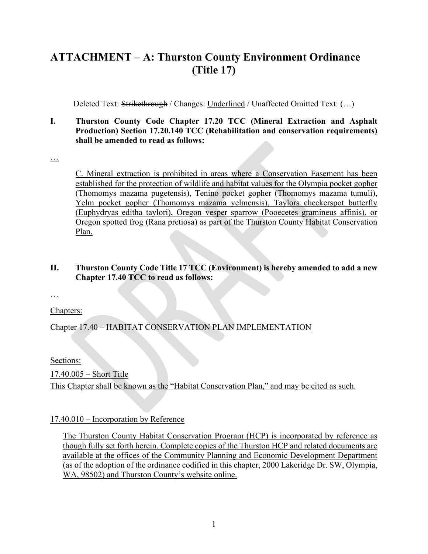# **ATTACHMENT – A: Thurston County Environment Ordinance (Title 17)**

Deleted Text: Strikethrough / Changes: Underlined / Unaffected Omitted Text: (...)

#### **I. Thurston County Code Chapter 17.20 TCC (Mineral Extraction and Asphalt Production) Section 17.20.140 TCC (Rehabilitation and conservation requirements) shall be amended to read as follows:**

…

C. Mineral extraction is prohibited in areas where a Conservation Easement has been established for the protection of wildlife and habitat values for the Olympia pocket gopher (Thomomys mazama pugetensis), Tenino pocket gopher (Thomomys mazama tumuli), Yelm pocket gopher (Thomomys mazama yelmensis), Taylors checkerspot butterfly (Euphydryas editha taylori), Oregon vesper sparrow (Pooecetes gramineus affinis), or Oregon spotted frog (Rana pretiosa) as part of the Thurston County Habitat Conservation Plan.

### **II. Thurston County Code Title 17 TCC (Environment) is hereby amended to add a new Chapter 17.40 TCC to read as follows:**

…

Chapters:

## Chapter 17.40 – HABITAT CONSERVATION PLAN IMPLEMENTATION

Sections:

17.40.005 – Short Title

This Chapter shall be known as the "Habitat Conservation Plan," and may be cited as such.

#### 17.40.010 – Incorporation by Reference

The Thurston County Habitat Conservation Program (HCP) is incorporated by reference as though fully set forth herein. Complete copies of the Thurston HCP and related documents are available at the offices of the Community Planning and Economic Development Department (as of the adoption of the ordinance codified in this chapter, 2000 Lakeridge Dr. SW, Olympia, WA, 98502) and Thurston County's website online.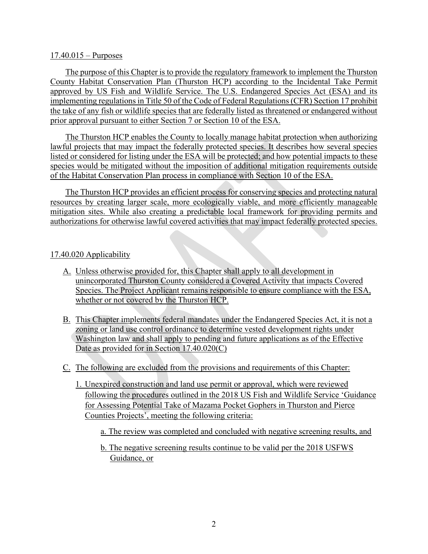#### 17.40.015 – Purposes

The purpose of this Chapter is to provide the regulatory framework to implement the Thurston County Habitat Conservation Plan (Thurston HCP) according to the Incidental Take Permit approved by US Fish and Wildlife Service. The U.S. Endangered Species Act (ESA) and its implementing regulations in Title 50 of the Code of Federal Regulations (CFR) Section 17 prohibit the take of any fish or wildlife species that are federally listed as threatened or endangered without prior approval pursuant to either Section 7 or Section 10 of the ESA.

The Thurston HCP enables the County to locally manage habitat protection when authorizing lawful projects that may impact the federally protected species. It describes how several species listed or considered for listing under the ESA will be protected; and how potential impacts to these species would be mitigated without the imposition of additional mitigation requirements outside of the Habitat Conservation Plan process in compliance with Section 10 of the ESA.

The Thurston HCP provides an efficient process for conserving species and protecting natural resources by creating larger scale, more ecologically viable, and more efficiently manageable mitigation sites. While also creating a predictable local framework for providing permits and authorizations for otherwise lawful covered activities that may impact federally protected species.

#### 17.40.020 Applicability

- A. Unless otherwise provided for, this Chapter shall apply to all development in unincorporated Thurston County considered a Covered Activity that impacts Covered Species. The Project Applicant remains responsible to ensure compliance with the ESA, whether or not covered by the Thurston HCP.
- B. This Chapter implements federal mandates under the Endangered Species Act, it is not a zoning or land use control ordinance to determine vested development rights under Washington law and shall apply to pending and future applications as of the Effective Date as provided for in Section 17.40.020(C)
- C. The following are excluded from the provisions and requirements of this Chapter:
	- 1. Unexpired construction and land use permit or approval, which were reviewed following the procedures outlined in the 2018 US Fish and Wildlife Service 'Guidance for Assessing Potential Take of Mazama Pocket Gophers in Thurston and Pierce Counties Projects', meeting the following criteria:
		- a. The review was completed and concluded with negative screening results, and
		- b. The negative screening results continue to be valid per the 2018 USFWS Guidance, or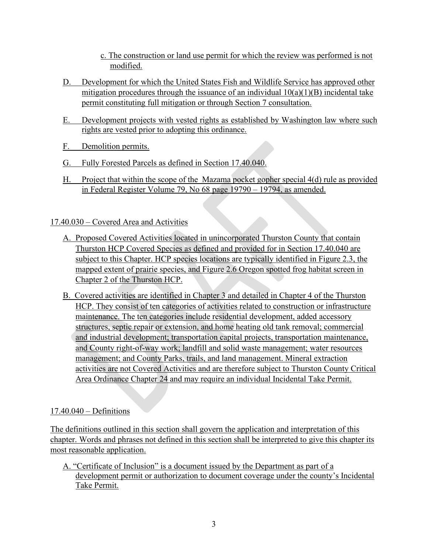- c. The construction or land use permit for which the review was performed is not modified.
- D. Development for which the United States Fish and Wildlife Service has approved other mitigation procedures through the issuance of an individual  $10(a)(1)(B)$  incidental take permit constituting full mitigation or through Section 7 consultation.
- E. Development projects with vested rights as established by Washington law where such rights are vested prior to adopting this ordinance.
- F. Demolition permits.
- G. Fully Forested Parcels as defined in Section 17.40.040.
- H. Project that within the scope of the Mazama pocket gopher special 4(d) rule as provided in Federal Register Volume 79, No 68 page 19790 – 19794, as amended.

# 17.40.030 – Covered Area and Activities

- A. Proposed Covered Activities located in unincorporated Thurston County that contain Thurston HCP Covered Species as defined and provided for in Section 17.40.040 are subject to this Chapter. HCP species locations are typically identified in Figure 2.3, the mapped extent of prairie species, and Figure 2.6 Oregon spotted frog habitat screen in Chapter 2 of the Thurston HCP.
- B. Covered activities are identified in Chapter 3 and detailed in Chapter 4 of the Thurston HCP. They consist of ten categories of activities related to construction or infrastructure maintenance. The ten categories include residential development, added accessory structures, septic repair or extension, and home heating old tank removal; commercial and industrial development; transportation capital projects, transportation maintenance, and County right-of-way work; landfill and solid waste management; water resources management; and County Parks, trails, and land management. Mineral extraction activities are not Covered Activities and are therefore subject to Thurston County Critical Area Ordinance Chapter 24 and may require an individual Incidental Take Permit.

## 17.40.040 – Definitions

The definitions outlined in this section shall govern the application and interpretation of this chapter. Words and phrases not defined in this section shall be interpreted to give this chapter its most reasonable application.

A. "Certificate of Inclusion" is a document issued by the Department as part of a development permit or authorization to document coverage under the county's Incidental Take Permit.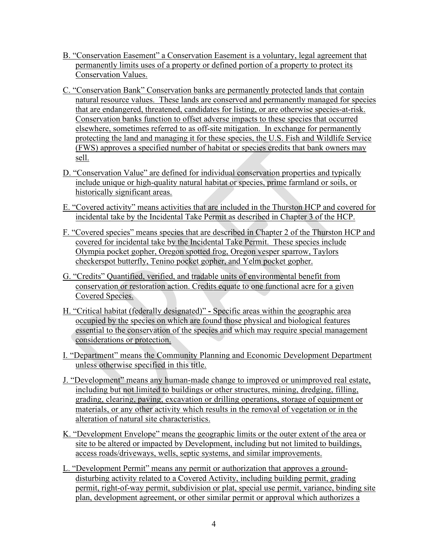- B. "Conservation Easement" a Conservation Easement is a voluntary, legal agreement that permanently limits uses of a property or defined portion of a property to protect its Conservation Values.
- C. "Conservation Bank" Conservation banks are permanently protected lands that contain natural resource values. These lands are conserved and permanently managed for species that are endangered, threatened, candidates for listing, or are otherwise species-at-risk. Conservation banks function to offset adverse impacts to these species that occurred elsewhere, sometimes referred to as off-site mitigation. In exchange for permanently protecting the land and managing it for these species, the U.S. Fish and Wildlife Service (FWS) approves a specified number of habitat or species credits that bank owners may sell.
- D. "Conservation Value" are defined for individual conservation properties and typically include unique or high-quality natural habitat or species, prime farmland or soils, or historically significant areas.
- E. "Covered activity" means activities that are included in the Thurston HCP and covered for incidental take by the Incidental Take Permit as described in Chapter 3 of the HCP.
- F. "Covered species" means species that are described in Chapter 2 of the Thurston HCP and covered for incidental take by the Incidental Take Permit. These species include Olympia pocket gopher, Oregon spotted frog, Oregon vesper sparrow, Taylors checkerspot butterfly, Tenino pocket gopher, and Yelm pocket gopher.
- G. "Credits" Quantified, verified, and tradable units of environmental benefit from conservation or restoration action. Credits equate to one functional acre for a given Covered Species.
- H. "Critical habitat (federally designated)"Specific areas within the geographic area occupied by the species on which are found those physical and biological features essential to the conservation of the species and which may require special management considerations or protection.
- I. "Department" means the Community Planning and Economic Development Department unless otherwise specified in this title.
- J. "Development" means any human-made change to improved or unimproved real estate, including but not limited to buildings or other structures, mining, dredging, filling, grading, clearing, paving, excavation or drilling operations, storage of equipment or materials, or any other activity which results in the removal of vegetation or in the alteration of natural site characteristics.
- K. "Development Envelope" means the geographic limits or the outer extent of the area or site to be altered or impacted by Development, including but not limited to buildings, access roads/driveways, wells, septic systems, and similar improvements.
- L. "Development Permit" means any permit or authorization that approves a grounddisturbing activity related to a Covered Activity, including building permit, grading permit, right-of-way permit, subdivision or plat, special use permit, variance, binding site plan, development agreement, or other similar permit or approval which authorizes a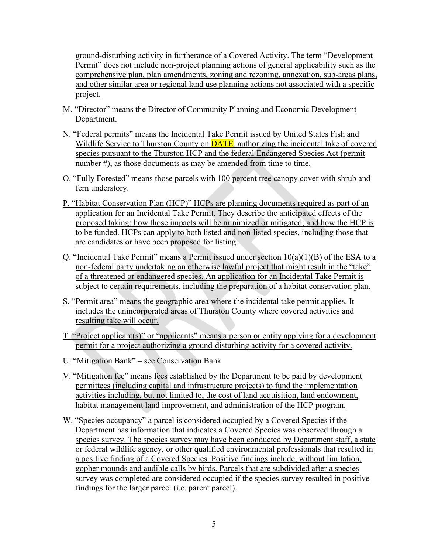ground-disturbing activity in furtherance of a Covered Activity. The term "Development Permit" does not include non-project planning actions of general applicability such as the comprehensive plan, plan amendments, zoning and rezoning, annexation, sub-areas plans, and other similar area or regional land use planning actions not associated with a specific project.

- M. "Director" means the Director of Community Planning and Economic Development Department.
- N. "Federal permits" means the Incidental Take Permit issued by United States Fish and Wildlife Service to Thurston County on **DATE**, authorizing the incidental take of covered species pursuant to the Thurston HCP and the federal Endangered Species Act (permit number #), as those documents as may be amended from time to time.
- O. "Fully Forested" means those parcels with 100 percent tree canopy cover with shrub and fern understory.
- P. "Habitat Conservation Plan (HCP)" HCPs are planning documents required as part of an application for an Incidental Take Permit. They describe the anticipated effects of the proposed taking; how those impacts will be minimized or mitigated; and how the HCP is to be funded. HCPs can apply to both listed and non-listed species, including those that are candidates or have been proposed for listing.
- Q. "Incidental Take Permit" means a Permit issued under section  $10(a)(1)(B)$  of the ESA to a non-federal party undertaking an otherwise lawful project that might result in the "take" of a threatened or endangered species. An application for an Incidental Take Permit is subject to certain requirements, including the preparation of a habitat conservation plan.
- S. "Permit area" means the geographic area where the incidental take permit applies. It includes the unincorporated areas of Thurston County where covered activities and resulting take will occur.
- T. "Project applicant(s)" or "applicants" means a person or entity applying for a development permit for a project authorizing a ground-disturbing activity for a covered activity.
- U. "Mitigation Bank" see Conservation Bank
- V. "Mitigation fee" means fees established by the Department to be paid by development permittees (including capital and infrastructure projects) to fund the implementation activities including, but not limited to, the cost of land acquisition, land endowment, habitat management land improvement, and administration of the HCP program.
- W. "Species occupancy" a parcel is considered occupied by a Covered Species if the Department has information that indicates a Covered Species was observed through a species survey. The species survey may have been conducted by Department staff, a state or federal wildlife agency, or other qualified environmental professionals that resulted in a positive finding of a Covered Species. Positive findings include, without limitation, gopher mounds and audible calls by birds. Parcels that are subdivided after a species survey was completed are considered occupied if the species survey resulted in positive findings for the larger parcel (i.e. parent parcel).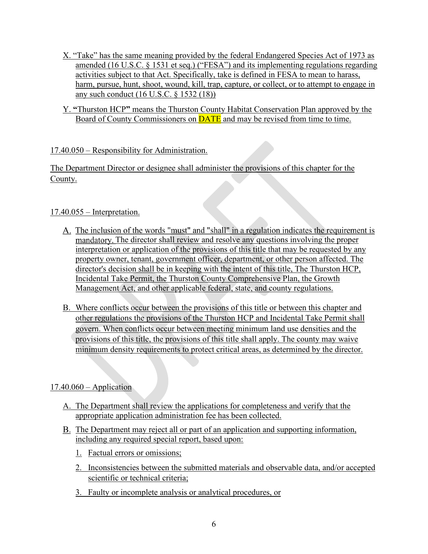- X. "Take" has the same meaning provided by the federal Endangered Species Act of 1973 as amended (16 U.S.C. § 1531 et seq.) ("FESA") and its implementing regulations regarding activities subject to that Act. Specifically, take is defined in FESA to mean to harass, harm, pursue, hunt, shoot, wound, kill, trap, capture, or collect, or to attempt to engage in any such conduct (16 U.S.C. § 1532 (18))
- Y. **"**Thurston HCP**"** means the Thurston County Habitat Conservation Plan approved by the Board of County Commissioners on **DATE** and may be revised from time to time.

## 17.40.050 – Responsibility for Administration.

The Department Director or designee shall administer the provisions of this chapter for the County.

## 17.40.055 – Interpretation.

- A. The inclusion of the words "must" and "shall" in a regulation indicates the requirement is mandatory. The director shall review and resolve any questions involving the proper interpretation or application of the provisions of this title that may be requested by any property owner, tenant, government officer, department, or other person affected. The director's decision shall be in keeping with the intent of this title, The Thurston HCP, Incidental Take Permit, the Thurston County Comprehensive Plan, the Growth Management Act, and other applicable federal, state, and county regulations.
- B. Where conflicts occur between the provisions of this title or between this chapter and other regulations the provisions of the Thurston HCP and Incidental Take Permit shall govern. When conflicts occur between meeting minimum land use densities and the provisions of this title, the provisions of this title shall apply. The county may waive minimum density requirements to protect critical areas, as determined by the director.

#### $17.40.060 - Application$

- A. The Department shall review the applications for completeness and verify that the appropriate application administration fee has been collected.
- The Department may reject all or part of an application and supporting information, including any required special report, based upon:
	- 1. Factual errors or omissions;
	- 2. Inconsistencies between the submitted materials and observable data, and/or accepted scientific or technical criteria;
	- 3. Faulty or incomplete analysis or analytical procedures, or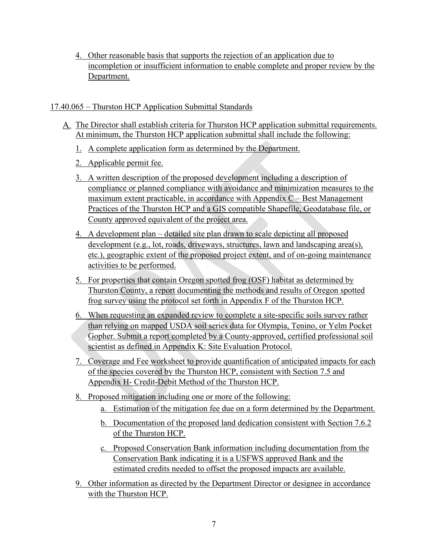4. Other reasonable basis that supports the rejection of an application due to incompletion or insufficient information to enable complete and proper review by the Department.

### 17.40.065 – Thurston HCP Application Submittal Standards

- The Director shall establish criteria for Thurston HCP application submittal requirements. At minimum, the Thurston HCP application submittal shall include the following:
	- 1. A complete application form as determined by the Department.
	- 2. Applicable permit fee.
	- 3. A written description of the proposed development including a description of compliance or planned compliance with avoidance and minimization measures to the maximum extent practicable, in accordance with Appendix  $C -$ Best Management Practices of the Thurston HCP and a GIS compatible Shapefile, Geodatabase file, or County approved equivalent of the project area.
	- 4. A development plan detailed site plan drawn to scale depicting all proposed development (e.g., lot, roads, driveways, structures, lawn and landscaping area(s), etc.), geographic extent of the proposed project extent, and of on-going maintenance activities to be performed.
	- 5. For properties that contain Oregon spotted frog (OSF) habitat as determined by Thurston County, a report documenting the methods and results of Oregon spotted frog survey using the protocol set forth in Appendix F of the Thurston HCP.
	- 6. When requesting an expanded review to complete a site-specific soils survey rather than relying on mapped USDA soil series data for Olympia, Tenino, or Yelm Pocket Gopher. Submit a report completed by a County-approved, certified professional soil scientist as defined in Appendix K: Site Evaluation Protocol.
	- 7. Coverage and Fee worksheet to provide quantification of anticipated impacts for each of the species covered by the Thurston HCP, consistent with Section 7.5 and Appendix H- Credit-Debit Method of the Thurston HCP.
	- 8. Proposed mitigation including one or more of the following:
		- a. Estimation of the mitigation fee due on a form determined by the Department.
		- b. Documentation of the proposed land dedication consistent with Section 7.6.2 of the Thurston HCP.
		- c. Proposed Conservation Bank information including documentation from the Conservation Bank indicating it is a USFWS approved Bank and the estimated credits needed to offset the proposed impacts are available.
	- 9. Other information as directed by the Department Director or designee in accordance with the Thurston HCP.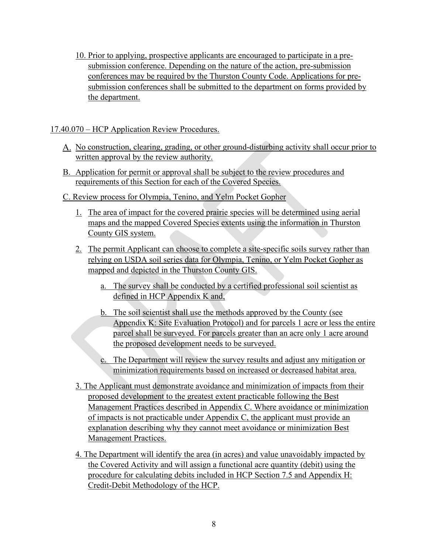10. Prior to applying, prospective applicants are encouraged to participate in a presubmission conference. Depending on the nature of the action, pre-submission conferences may be required by the Thurston County Code. Applications for presubmission conferences shall be submitted to the department on forms provided by the department.

## 17.40.070 – HCP Application Review Procedures.

- A. No construction, clearing, grading, or other ground-disturbing activity shall occur prior to written approval by the review authority.
- B. Application for permit or approval shall be subject to the review procedures and requirements of this Section for each of the Covered Species.
- C. Review process for Olympia, Tenino, and Yelm Pocket Gopher
	- 1. The area of impact for the covered prairie species will be determined using aerial maps and the mapped Covered Species extents using the information in Thurston County GIS system.
	- 2. The permit Applicant can choose to complete a site-specific soils survey rather than relying on USDA soil series data for Olympia, Tenino, or Yelm Pocket Gopher as mapped and depicted in the Thurston County GIS.
		- a. The survey shall be conducted by a certified professional soil scientist as defined in HCP Appendix K and,
		- b. The soil scientist shall use the methods approved by the County (see Appendix K: Site Evaluation Protocol) and for parcels 1 acre or less the entire parcel shall be surveyed. For parcels greater than an acre only 1 acre around the proposed development needs to be surveyed.
		- c. The Department will review the survey results and adjust any mitigation or minimization requirements based on increased or decreased habitat area.
	- 3. The Applicant must demonstrate avoidance and minimization of impacts from their proposed development to the greatest extent practicable following the Best Management Practices described in Appendix C. Where avoidance or minimization of impacts is not practicable under Appendix C, the applicant must provide an explanation describing why they cannot meet avoidance or minimization Best Management Practices.
	- 4. The Department will identify the area (in acres) and value unavoidably impacted by the Covered Activity and will assign a functional acre quantity (debit) using the procedure for calculating debits included in HCP Section 7.5 and Appendix H: Credit-Debit Methodology of the HCP.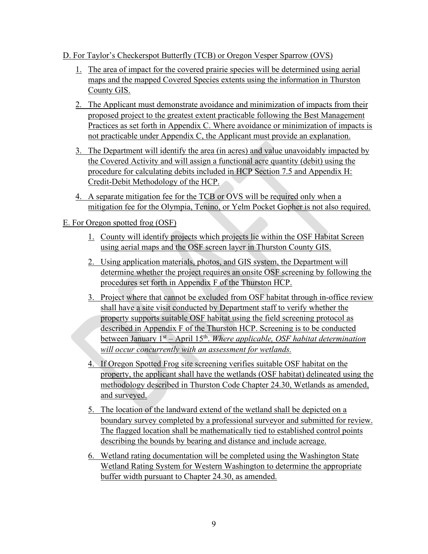## D. For Taylor's Checkerspot Butterfly (TCB) or Oregon Vesper Sparrow (OVS)

- 1. The area of impact for the covered prairie species will be determined using aerial maps and the mapped Covered Species extents using the information in Thurston County GIS.
- 2. The Applicant must demonstrate avoidance and minimization of impacts from their proposed project to the greatest extent practicable following the Best Management Practices as set forth in Appendix C. Where avoidance or minimization of impacts is not practicable under Appendix C, the Applicant must provide an explanation.
- 3. The Department will identify the area (in acres) and value unavoidably impacted by the Covered Activity and will assign a functional acre quantity (debit) using the procedure for calculating debits included in HCP Section 7.5 and Appendix H: Credit-Debit Methodology of the HCP.
- 4. A separate mitigation fee for the TCB or OVS will be required only when a mitigation fee for the Olympia, Tenino, or Yelm Pocket Gopher is not also required.

## E. For Oregon spotted frog (OSF)

- 1. County will identify projects which projects lie within the OSF Habitat Screen using aerial maps and the OSF screen layer in Thurston County GIS.
- 2. Using application materials, photos, and GIS system, the Department will determine whether the project requires an onsite OSF screening by following the procedures set forth in Appendix F of the Thurston HCP.
- 3. Project where that cannot be excluded from OSF habitat through in-office review shall have a site visit conducted by Department staff to verify whether the property supports suitable OSF habitat using the field screening protocol as described in Appendix F of the Thurston HCP. Screening is to be conducted between January 1st – April 15th. *Where applicable, OSF habitat determination will occur concurrently with an assessment for wetlands.*
- 4. If Oregon Spotted Frog site screening verifies suitable OSF habitat on the property, the applicant shall have the wetlands (OSF habitat) delineated using the methodology described in Thurston Code Chapter 24.30, Wetlands as amended, and surveyed.
- 5. The location of the landward extend of the wetland shall be depicted on a boundary survey completed by a professional surveyor and submitted for review. The flagged location shall be mathematically tied to established control points describing the bounds by bearing and distance and include acreage.
- 6. Wetland rating documentation will be completed using the Washington State Wetland Rating System for Western Washington to determine the appropriate buffer width pursuant to Chapter 24.30, as amended.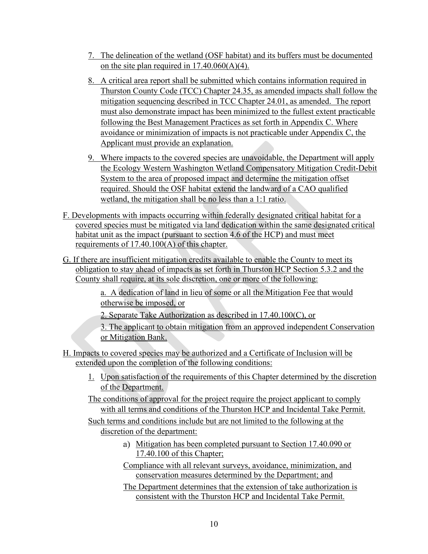- 7. The delineation of the wetland (OSF habitat) and its buffers must be documented on the site plan required in 17.40.060(A)(4).
- 8. A critical area report shall be submitted which contains information required in Thurston County Code (TCC) Chapter 24.35, as amended impacts shall follow the mitigation sequencing described in TCC Chapter 24.01, as amended. The report must also demonstrate impact has been minimized to the fullest extent practicable following the Best Management Practices as set forth in Appendix C. Where avoidance or minimization of impacts is not practicable under Appendix C, the Applicant must provide an explanation.
- 9. Where impacts to the covered species are unavoidable, the Department will apply the Ecology Western Washington Wetland Compensatory Mitigation Credit-Debit System to the area of proposed impact and determine the mitigation offset required. Should the OSF habitat extend the landward of a CAO qualified wetland, the mitigation shall be no less than a 1:1 ratio.
- F. Developments with impacts occurring within federally designated critical habitat for a covered species must be mitigated via land dedication within the same designated critical habitat unit as the impact (pursuant to section 4.6 of the HCP) and must meet requirements of 17.40.100(A) of this chapter.
- G. If there are insufficient mitigation credits available to enable the County to meet its obligation to stay ahead of impacts as set forth in Thurston HCP Section 5.3.2 and the County shall require, at its sole discretion, one or more of the following:

a. A dedication of land in lieu of some or all the Mitigation Fee that would otherwise be imposed, or

2. Separate Take Authorization as described in 17.40.100(C), or

3. The applicant to obtain mitigation from an approved independent Conservation or Mitigation Bank.

- H. Impacts to covered species may be authorized and a Certificate of Inclusion will be extended upon the completion of the following conditions:
	- 1. Upon satisfaction of the requirements of this Chapter determined by the discretion of the Department.
	- The conditions of approval for the project require the project applicant to comply with all terms and conditions of the Thurston HCP and Incidental Take Permit.

Such terms and conditions include but are not limited to the following at the discretion of the department:

- Mitigation has been completed pursuant to Section 17.40.090 or 17.40.100 of this Chapter;
- Compliance with all relevant surveys, avoidance, minimization, and conservation measures determined by the Department; and
- The Department determines that the extension of take authorization is consistent with the Thurston HCP and Incidental Take Permit.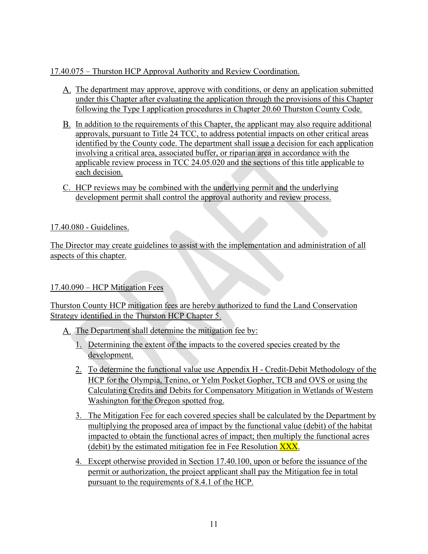## 17.40.075 – Thurston HCP Approval Authority and Review Coordination.

- The department may approve, approve with conditions, or deny an application submitted under this Chapter after evaluating the application through the provisions of this Chapter following the Type I application procedures in Chapter 20.60 Thurston County Code.
- In addition to the requirements of this Chapter, the applicant may also require additional approvals, pursuant to Title 24 TCC, to address potential impacts on other critical areas identified by the County code. The department shall issue a decision for each application involving a critical area, associated buffer, or riparian area in accordance with the applicable review process in TCC 24.05.020 and the sections of this title applicable to each decision.
- C. HCP reviews may be combined with the underlying permit and the underlying development permit shall control the approval authority and review process.

## 17.40.080 - Guidelines.

The Director may create guidelines to assist with the implementation and administration of all aspects of this chapter.

#### 17.40.090 – HCP Mitigation Fees

Thurston County HCP mitigation fees are hereby authorized to fund the Land Conservation Strategy identified in the Thurston HCP Chapter 5.

- A. The Department shall determine the mitigation fee by:
	- 1. Determining the extent of the impacts to the covered species created by the development.
	- 2. To determine the functional value use Appendix H Credit-Debit Methodology of the HCP for the Olympia, Tenino, or Yelm Pocket Gopher, TCB and OVS or using the Calculating Credits and Debits for Compensatory Mitigation in Wetlands of Western Washington for the Oregon spotted frog.
	- 3. The Mitigation Fee for each covered species shall be calculated by the Department by multiplying the proposed area of impact by the functional value (debit) of the habitat impacted to obtain the functional acres of impact; then multiply the functional acres (debit) by the estimated mitigation fee in Fee Resolution  $\overline{XXX}$ .
	- 4. Except otherwise provided in Section 17.40.100, upon or before the issuance of the permit or authorization, the project applicant shall pay the Mitigation fee in total pursuant to the requirements of 8.4.1 of the HCP.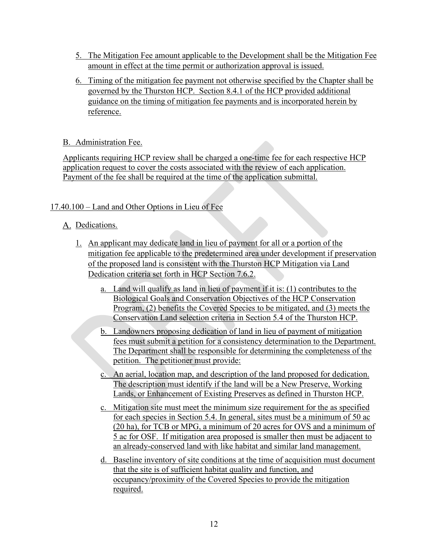- 5. The Mitigation Fee amount applicable to the Development shall be the Mitigation Fee amount in effect at the time permit or authorization approval is issued.
- 6. Timing of the mitigation fee payment not otherwise specified by the Chapter shall be governed by the Thurston HCP. Section 8.4.1 of the HCP provided additional guidance on the timing of mitigation fee payments and is incorporated herein by reference.

## B. Administration Fee.

Applicants requiring HCP review shall be charged a one-time fee for each respective HCP application request to cover the costs associated with the review of each application. Payment of the fee shall be required at the time of the application submittal.

## 17.40.100 – Land and Other Options in Lieu of Fee

# A. Dedications.

- 1. An applicant may dedicate land in lieu of payment for all or a portion of the mitigation fee applicable to the predetermined area under development if preservation of the proposed land is consistent with the Thurston HCP Mitigation via Land Dedication criteria set forth in HCP Section 7.6.2.
	- a. Land will qualify as land in lieu of payment if it is: (1) contributes to the Biological Goals and Conservation Objectives of the HCP Conservation Program, (2) benefits the Covered Species to be mitigated, and (3) meets the Conservation Land selection criteria in Section 5.4 of the Thurston HCP.
	- b. Landowners proposing dedication of land in lieu of payment of mitigation fees must submit a petition for a consistency determination to the Department. The Department shall be responsible for determining the completeness of the petition. The petitioner must provide:
	- c. An aerial, location map, and description of the land proposed for dedication. The description must identify if the land will be a New Preserve, Working Lands, or Enhancement of Existing Preserves as defined in Thurston HCP.
	- c. Mitigation site must meet the minimum size requirement for the as specified for each species in Section 5.4. In general, sites must be a minimum of 50 ac (20 ha), for TCB or MPG, a minimum of 20 acres for OVS and a minimum of 5 ac for OSF. If mitigation area proposed is smaller then must be adjacent to an already-conserved land with like habitat and similar land management.
	- d. Baseline inventory of site conditions at the time of acquisition must document that the site is of sufficient habitat quality and function, and occupancy/proximity of the Covered Species to provide the mitigation required.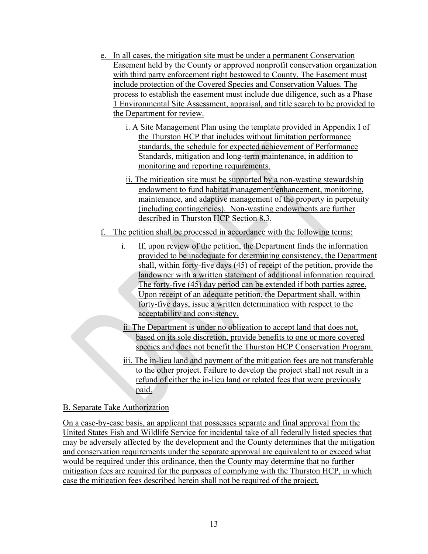- e. In all cases, the mitigation site must be under a permanent Conservation Easement held by the County or approved nonprofit conservation organization with third party enforcement right bestowed to County. The Easement must include protection of the Covered Species and Conservation Values. The process to establish the easement must include due diligence, such as a Phase 1 Environmental Site Assessment, appraisal, and title search to be provided to the Department for review.
	- i. A Site Management Plan using the template provided in Appendix I of the Thurston HCP that includes without limitation performance standards, the schedule for expected achievement of Performance Standards, mitigation and long-term maintenance, in addition to monitoring and reporting requirements.
	- ii. The mitigation site must be supported by a non-wasting stewardship endowment to fund habitat management/enhancement, monitoring, maintenance, and adaptive management of the property in perpetuity (including contingencies). Non-wasting endowments are further described in Thurston HCP Section 8.3.
- f. The petition shall be processed in accordance with the following terms:
	- i. If, upon review of the petition, the Department finds the information provided to be inadequate for determining consistency, the Department shall, within forty-five days (45) of receipt of the petition, provide the landowner with a written statement of additional information required. The forty-five (45) day period can be extended if both parties agree. Upon receipt of an adequate petition, the Department shall, within forty-five days, issue a written determination with respect to the acceptability and consistency.
	- ii. The Department is under no obligation to accept land that does not, based on its sole discretion, provide benefits to one or more covered species and does not benefit the Thurston HCP Conservation Program.
	- iii. The in-lieu land and payment of the mitigation fees are not transferable to the other project. Failure to develop the project shall not result in a refund of either the in-lieu land or related fees that were previously paid.

#### B. Separate Take Authorization

On a case-by-case basis, an applicant that possesses separate and final approval from the United States Fish and Wildlife Service for incidental take of all federally listed species that may be adversely affected by the development and the County determines that the mitigation and conservation requirements under the separate approval are equivalent to or exceed what would be required under this ordinance, then the County may determine that no further mitigation fees are required for the purposes of complying with the Thurston HCP, in which case the mitigation fees described herein shall not be required of the project.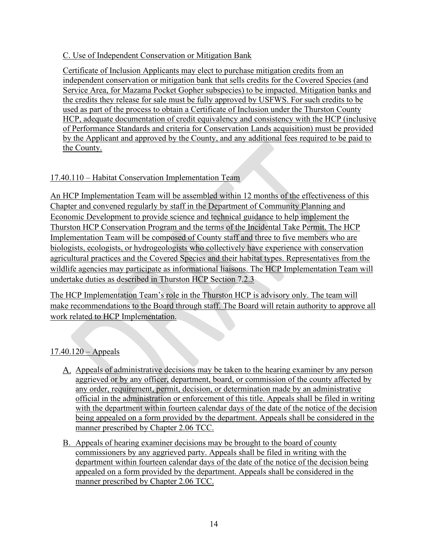## C. Use of Independent Conservation or Mitigation Bank

Certificate of Inclusion Applicants may elect to purchase mitigation credits from an independent conservation or mitigation bank that sells credits for the Covered Species (and Service Area, for Mazama Pocket Gopher subspecies) to be impacted. Mitigation banks and the credits they release for sale must be fully approved by USFWS. For such credits to be used as part of the process to obtain a Certificate of Inclusion under the Thurston County HCP, adequate documentation of credit equivalency and consistency with the HCP (inclusive of Performance Standards and criteria for Conservation Lands acquisition) must be provided by the Applicant and approved by the County, and any additional fees required to be paid to the County.

## 17.40.110 – Habitat Conservation Implementation Team

An HCP Implementation Team will be assembled within 12 months of the effectiveness of this Chapter and convened regularly by staff in the Department of Community Planning and Economic Development to provide science and technical guidance to help implement the Thurston HCP Conservation Program and the terms of the Incidental Take Permit. The HCP Implementation Team will be composed of County staff and three to five members who are biologists, ecologists, or hydrogeologists who collectively have experience with conservation agricultural practices and the Covered Species and their habitat types. Representatives from the wildlife agencies may participate as informational liaisons. The HCP Implementation Team will undertake duties as described in Thurston HCP Section 7.2.3

The HCP Implementation Team's role in the Thurston HCP is advisory only. The team will make recommendations to the Board through staff. The Board will retain authority to approve all work related to HCP Implementation.

## $17.40.120 -$  Appeals

- A. Appeals of administrative decisions may be taken to the hearing examiner by any person aggrieved or by any officer, department, board, or commission of the county affected by any order, requirement, permit, decision, or determination made by an administrative official in the administration or enforcement of this title. Appeals shall be filed in writing with the department within fourteen calendar days of the date of the notice of the decision being appealed on a form provided by the department. Appeals shall be considered in the manner prescribed by Chapter 2.06 TCC.
- B. Appeals of hearing examiner decisions may be brought to the board of county commissioners by any aggrieved party. Appeals shall be filed in writing with the department within fourteen calendar days of the date of the notice of the decision being appealed on a form provided by the department. Appeals shall be considered in the manner prescribed by Chapter 2.06 TCC.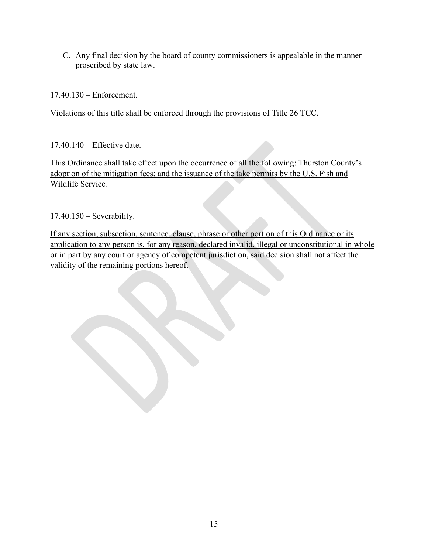## C. Any final decision by the board of county commissioners is appealable in the manner proscribed by state law.

# 17.40.130 – Enforcement.

Violations of this title shall be enforced through the provisions of Title 26 TCC.

# 17.40.140 – Effective date.

This Ordinance shall take effect upon the occurrence of all the following: Thurston County's adoption of the mitigation fees; and the issuance of the take permits by the U.S. Fish and Wildlife Service*.* 

17.40.150 – Severability.

If any section, subsection, sentence, clause, phrase or other portion of this Ordinance or its application to any person is, for any reason, declared invalid, illegal or unconstitutional in whole or in part by any court or agency of competent jurisdiction, said decision shall not affect the validity of the remaining portions hereof.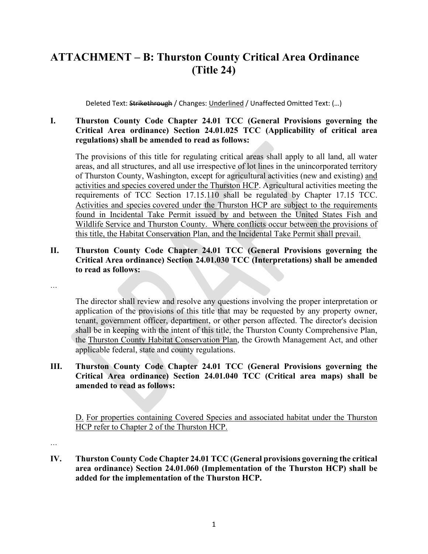# **ATTACHMENT – B: Thurston County Critical Area Ordinance (Title 24)**

Deleted Text: Strikethrough / Changes: Underlined / Unaffected Omitted Text: (...)

#### **I. Thurston County Code Chapter 24.01 TCC (General Provisions governing the Critical Area ordinance) Section 24.01.025 TCC (Applicability of critical area regulations) shall be amended to read as follows:**

The provisions of this title for regulating critical areas shall apply to all land, all water areas, and all structures, and all use irrespective of lot lines in the unincorporated territory of Thurston County, Washington, except for agricultural activities (new and existing) and activities and species covered under the Thurston HCP. Agricultural activities meeting the requirements of TCC Section 17.15.110 shall be regulated by Chapter 17.15 TCC. Activities and species covered under the Thurston HCP are subject to the requirements found in Incidental Take Permit issued by and between the United States Fish and Wildlife Service and Thurston County. Where conflicts occur between the provisions of this title, the Habitat Conservation Plan, and the Incidental Take Permit shall prevail.

**II. Thurston County Code Chapter 24.01 TCC (General Provisions governing the Critical Area ordinance) Section 24.01.030 TCC (Interpretations) shall be amended to read as follows:**

…

The director shall review and resolve any questions involving the proper interpretation or application of the provisions of this title that may be requested by any property owner, tenant, government officer, department, or other person affected. The director's decision shall be in keeping with the intent of this title, the Thurston County Comprehensive Plan, the Thurston County Habitat Conservation Plan, the Growth Management Act, and other applicable federal, state and county regulations.

#### **III. Thurston County Code Chapter 24.01 TCC (General Provisions governing the Critical Area ordinance) Section 24.01.040 TCC (Critical area maps) shall be amended to read as follows:**

D. For properties containing Covered Species and associated habitat under the Thurston HCP refer to Chapter 2 of the Thurston HCP.

…

**IV. Thurston County Code Chapter 24.01 TCC (General provisions governing the critical area ordinance) Section 24.01.060 (Implementation of the Thurston HCP) shall be added for the implementation of the Thurston HCP.**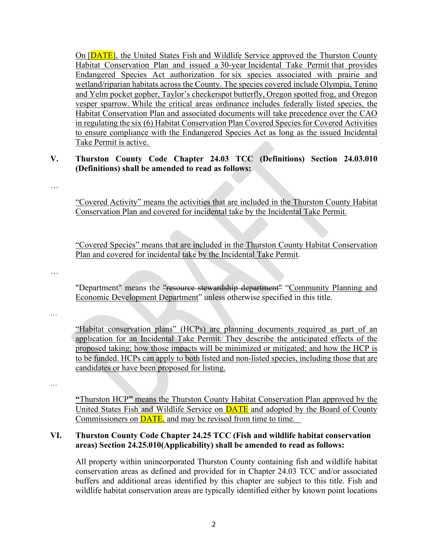On [DATE], the United States Fish and Wildlife Service approved the Thurston County Habitat Conservation Plan and issued a 30-year Incidental Take Permit that provides Endangered Species Act authorization for six species associated with prairie and wetland/riparian habitats across the County. The species covered include Olympia, Tenino and Yelm pocket gopher, Taylor's checkerspot butterfly, Oregon spotted frog, and Oregon vesper sparrow. While the critical areas ordinance includes federally listed species, the Habitat Conservation Plan and associated documents will take precedence over the CAO in regulating the six (6) Habitat Conservation Plan Covered Species for Covered Activities to ensure compliance with the Endangered Species Act as long as the issued Incidental Take Permit is active.

### **V. Thurston County Code Chapter 24.03 TCC (Definitions) Section 24.03.010 (Definitions) shall be amended to read as follows:**

…

"Covered Activity" means the activities that are included in the Thurston County Habitat Conservation Plan and covered for incidental take by the Incidental Take Permit.

"Covered Species" means that are included in the Thurston County Habitat Conservation Plan and covered for incidental take by the Incidental Take Permit.

…

"Department" means the "resource stewardship department" "Community Planning and Economic Development Department" unless otherwise specified in this title.

…

"Habitat conservation plans" (HCPs) are planning documents required as part of an application for an Incidental Take Permit. They describe the anticipated effects of the proposed taking; how those impacts will be minimized or mitigated; and how the HCP is to be funded. HCPs can apply to both listed and non-listed species, including those that are candidates or have been proposed for listing.

…

**"**Thurston HCP**"** means the Thurston County Habitat Conservation Plan approved by the United States Fish and Wildlife Service on **DATE** and adopted by the Board of County Commissioners on DATE, and may be revised from time to time.

#### **VI. Thurston County Code Chapter 24.25 TCC (Fish and wildlife habitat conservation areas) Section 24.25.010(Applicability) shall be amended to read as follows:**

All property within unincorporated Thurston County containing fish and wildlife habitat conservation areas as defined and provided for in Chapter 24.03 TCC and/or associated buffers and additional areas identified by this chapter are subject to this title. Fish and wildlife habitat conservation areas are typically identified either by known point locations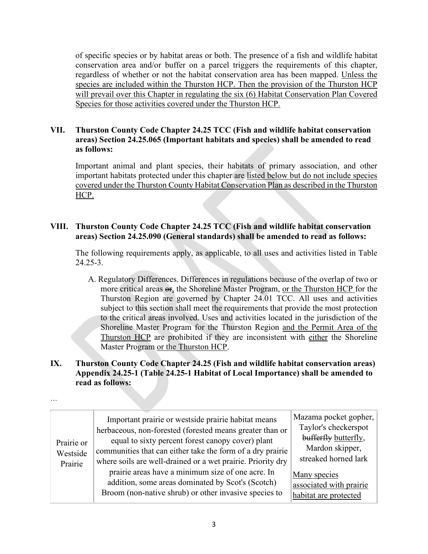of specific species or by habitat areas or both. The presence of a fish and wildlife habitat conservation area and/or buffer on a parcel triggers the requirements of this chapter, regardless of whether or not the habitat conservation area has been mapped. Unless the species are included within the Thurston HCP. Then the provision of the Thurston HCP will prevail over this Chapter in regulating the six (6) Habitat Conservation Plan Covered Species for those activities covered under the Thurston HCP.

#### **VII. Thurston County Code Chapter 24.25 TCC (Fish and wildlife habitat conservation areas) Section 24.25.065 (Important habitats and species) shall be amended to read as follows:**

Important animal and plant species, their habitats of primary association, and other important habitats protected under this chapter are listed below but do not include species covered under the Thurston County Habitat Conservation Plan as described in the Thurston HCP.

### **VIII. Thurston County Code Chapter 24.25 TCC (Fish and wildlife habitat conservation areas) Section 24.25.090 (General standards) shall be amended to read as follows:**

The following requirements apply, as applicable, to all uses and activities listed in Table 24.25-3.

A. Regulatory Differences. Differences in regulations because of the overlap of two or more critical areas  $\Theta$ , the Shoreline Master Program, or the Thurston HCP for the Thurston Region are governed by Chapter 24.01 TCC. All uses and activities subject to this section shall meet the requirements that provide the most protection to the critical areas involved. Uses and activities located in the jurisdiction of the Shoreline Master Program for the Thurston Region and the Permit Area of the Thurston HCP are prohibited if they are inconsistent with either the Shoreline Master Program or the Thurston HCP.

## **IX. Thurston County Code Chapter 24.25 (Fish and wildlife habitat conservation areas) Appendix 24.25-1 (Table 24.25-1 Habitat of Local Importance) shall be amended to read as follows:**

| Prairie or<br>Westside<br>Prairie | Important prairie or westside prairie habitat means<br>herbaceous, non-forested (forested means greater than or<br>equal to sixty percent forest canopy cover) plant<br>communities that can either take the form of a dry prairie<br>where soils are well-drained or a wet prairie. Priority dry<br>prairie areas have a minimum size of one acre. In<br>addition, some areas dominated by Scot's (Scotch)<br>Broom (non-native shrub) or other invasive species to | Mazama pocket gopher,<br>Taylor's checkerspot<br>bufferfly butterfly,<br>Mardon skipper,<br>streaked horned lark<br>Many species<br>associated with prairie<br>habitat are protected |
|-----------------------------------|----------------------------------------------------------------------------------------------------------------------------------------------------------------------------------------------------------------------------------------------------------------------------------------------------------------------------------------------------------------------------------------------------------------------------------------------------------------------|--------------------------------------------------------------------------------------------------------------------------------------------------------------------------------------|
|-----------------------------------|----------------------------------------------------------------------------------------------------------------------------------------------------------------------------------------------------------------------------------------------------------------------------------------------------------------------------------------------------------------------------------------------------------------------------------------------------------------------|--------------------------------------------------------------------------------------------------------------------------------------------------------------------------------------|

…